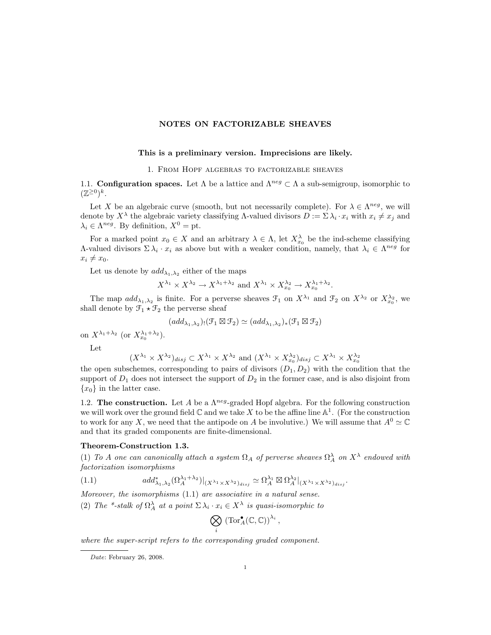### NOTES ON FACTORIZABLE SHEAVES

# This is a preliminary version. Imprecisions are likely.

### 1. From Hopf algebras to factorizable sheaves

1.1. **Configuration spaces.** Let  $\Lambda$  be a lattice and  $\Lambda^{neg} \subset \Lambda$  a sub-semigroup, isomorphic to  $(\mathbb{Z}^{\geq 0})^k$ .

Let X be an algebraic curve (smooth, but not necessarily complete). For  $\lambda \in \Lambda^{neg}$ , we will denote by  $X^{\lambda}$  the algebraic variety classifying  $\Lambda$ -valued divisors  $D := \Sigma \lambda_i \cdot x_i$  with  $x_i \neq x_j$  and  $\lambda_i \in \Lambda^{neg}$ . By definition,  $X^0 = pt$ .

For a marked point  $x_0 \in X$  and an arbitrary  $\lambda \in \Lambda$ , let  $X_{x_0}^{\lambda}$  be the ind-scheme classifying Λ-valued divisors Σ $\lambda_i \cdot x_i$  as above but with a weaker condition, namely, that  $\lambda_i \in \Lambda^{neg}$  for  $x_i \neq x_0.$ 

Let us denote by  $add_{\lambda_1,\lambda_2}$  either of the maps

$$
X^{\lambda_1} \times X^{\lambda_2} \to X^{\lambda_1 + \lambda_2}
$$
 and  $X^{\lambda_1} \times X^{\lambda_2}_{x_0} \to X^{\lambda_1 + \lambda_2}_{x_0}$ .

The map  $add_{\lambda_1,\lambda_2}$  is finite. For a perverse sheaves  $\mathcal{F}_1$  on  $X^{\lambda_1}$  and  $\mathcal{F}_2$  on  $X^{\lambda_2}$  or  $X^{\lambda_2}_{x_0}$ , we shall denote by  $\mathfrak{F}_1 \star \mathfrak{F}_2$  the perverse sheaf

$$
(add_{\lambda_1,\lambda_2})_!({\mathfrak{F}}_1\boxtimes {\mathfrak{F}}_2)\simeq (add_{\lambda_1,\lambda_2})_*({\mathfrak{F}}_1\boxtimes {\mathfrak{F}}_2)
$$

on  $X^{\lambda_1+\lambda_2}$  (or  $X^{\lambda_1+\lambda_2}_{x_0}$ ).

Let

$$
(X^{\lambda_1} \times X^{\lambda_2})_{disj} \subset X^{\lambda_1} \times X^{\lambda_2}
$$
 and  $(X^{\lambda_1} \times X^{\lambda_2})_{disj} \subset X^{\lambda_1} \times X^{\lambda_2}_{x_0}$ 

the open subschemes, corresponding to pairs of divisors  $(D_1, D_2)$  with the condition that the support of  $D_1$  does not intersect the support of  $D_2$  in the former case, and is also disjoint from  ${x_0}$  in the latter case.

1.2. The construction. Let A be a  $\Lambda^{neg}$ -graded Hopf algebra. For the following construction we will work over the ground field  $\mathbb C$  and we take X to be the affine line  $\mathbb A^1$ . (For the construction to work for any X, we need that the antipode on A be involutive.) We will assume that  $A^0 \simeq \mathbb{C}$ and that its graded components are finite-dimensional.

#### Theorem-Construction 1.3.

(1) To A one can canonically attach a system  $\Omega_A$  of perverse sheaves  $\Omega_A^{\lambda}$  on  $X^{\lambda}$  endowed with factorization isomorphisms

(1.1) 
$$
add_{\lambda_1,\lambda_2}^*(\Omega_A^{\lambda_1+\lambda_2})|_{(X^{\lambda_1}\times X^{\lambda_2})_{disj}} \simeq \Omega_A^{\lambda_1} \boxtimes \Omega_A^{\lambda_2}|_{(X^{\lambda_1}\times X^{\lambda_2})_{disj}}.
$$

Moreover, the isomorphisms (1.1) are associative in a natural sense.

(2) The \*-stalk of  $\Omega_A^{\lambda}$  at a point  $\Sigma \lambda_i \cdot x_i \in X^{\lambda}$  is quasi-isomorphic to

$$
\bigotimes_i \left( \text{Tor}_A^{\bullet}(\mathbb{C}, \mathbb{C}) \right)^{\lambda_i},
$$

where the super-script refers to the corresponding graded component.

Date: February 26, 2008.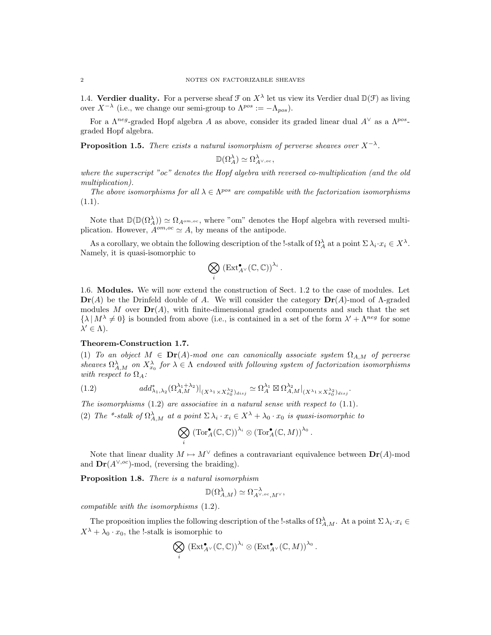1.4. Verdier duality. For a perverse sheaf  $\mathcal F$  on  $X^{\lambda}$  let us view its Verdier dual  $\mathbb{D}(\mathcal F)$  as living over  $X^{-\lambda}$  (i.e., we change our semi-group to  $\Lambda^{pos} := -\Lambda_{pos}$ ).

For a  $\Lambda^{neg}$ -graded Hopf algebra A as above, consider its graded linear dual  $A^{\vee}$  as a  $\Lambda^{pos}$ graded Hopf algebra.

**Proposition 1.5.** There exists a natural isomorphism of perverse sheaves over  $X^{-\lambda}$ .

$$
\mathbb{D}(\Omega^\lambda_A) \simeq \Omega^\lambda_{A^{\vee,oc}},
$$

where the superscript "oc" denotes the Hopf algebra with reversed co-multiplication (and the old multiplication).

The above isomorphisms for all  $\lambda \in \Lambda^{pos}$  are compatible with the factorization isomorphisms  $(1.1).$ 

Note that  $\mathbb{D}(\mathbb{D}(\Omega_A^{\lambda})) \simeq \Omega_{A^{om,oc}}$ , where "om" denotes the Hopf algebra with reversed multiplication. However,  $A^{om,oc} \simeq A$ , by means of the antipode.

As a corollary, we obtain the following description of the !-stalk of  $\Omega_A^{\lambda}$  at a point  $\Sigma \lambda_i \cdot x_i \in X^{\lambda}$ . Namely, it is quasi-isomorphic to

$$
\bigotimes_i \left( \mathrm{Ext}^{\bullet}_{A^{\vee}}(\mathbb{C}, \mathbb{C}) \right)^{\lambda_i}.
$$

1.6. Modules. We will now extend the construction of Sect. 1.2 to the case of modules. Let  $\mathrm{Dr}(A)$  be the Drinfeld double of A. We will consider the category  $\mathrm{Dr}(A)$ -mod of A-graded modules M over  $\mathbf{Dr}(A)$ , with finite-dimensional graded components and such that the set  $\{\lambda \mid M^{\lambda} \neq 0\}$  is bounded from above (i.e., is contained in a set of the form  $\lambda' + \Lambda^{neg}$  for some  $\lambda' \in \Lambda$ ).

## Theorem-Construction 1.7.

(1) To an object  $M \in \mathbf{Dr}(A)$ -mod one can canonically associate system  $\Omega_{A,M}$  of perverse sheaves  $\Omega^{\lambda}_{A,M}$  on  $X^{\lambda}_{x_0}$  for  $\lambda \in \Lambda$  endowed with following system of factorization isomorphisms with respect to  $\Omega_A$ :

(1.2) 
$$
add^*_{\lambda_1,\lambda_2}(\Omega^{\lambda_1+\lambda_2}_{A,M})|_{(X^{\lambda_1}\times X^{ \lambda_2}_{x_0})_{disj}} \simeq \Omega^{\lambda_1}_A \boxtimes \Omega^{\lambda_2}_{A,M}|_{(X^{\lambda_1}\times X^{ \lambda_2}_{x_0})_{disj}}.
$$

The isomorphisms  $(1.2)$  are associative in a natural sense with respect to  $(1.1)$ .

(2) The \*-stalk of  $\Omega^{\lambda}_{A,M}$  at a point  $\Sigma \lambda_i \cdot x_i \in X^{\lambda} + \lambda_0 \cdot x_0$  is quasi-isomorphic to

$$
\bigotimes_i (\mathrm{Tor}^\bullet_A(\mathbb{C},\mathbb{C}))^{\lambda_i} \otimes (\mathrm{Tor}^\bullet_A(\mathbb{C},M))^{\lambda_0}.
$$

Note that linear duality  $M \mapsto M^{\vee}$  defines a contravariant equivalence between  $\mathbf{Dr}(A)$ -mod and  $\mathbf{Dr}(A^{\vee,oc})$ -mod, (reversing the braiding).

Proposition 1.8. There is a natural isomorphism

$$
\mathbb{D}(\Omega_{A,M}^{\lambda}) \simeq \Omega_{A^{\vee,oc},M^{\vee}}^{-\lambda},
$$

compatible with the isomorphisms (1.2).

The proposition implies the following description of the !-stalks of  $\Omega^{\lambda}_{A,M}$ . At a point  $\Sigma \lambda_i \cdot x_i \in$  $X^{\lambda} + \lambda_0 \cdot x_0$ , the !-stalk is isomorphic to

$$
\bigotimes_i \left( \mathrm{Ext}^{\bullet}_{A^{\vee}}(\mathbb{C},\mathbb{C}) \right)^{\lambda_i} \otimes \left( \mathrm{Ext}^{\bullet}_{A^{\vee}}(\mathbb{C},M) \right)^{\lambda_0}
$$

.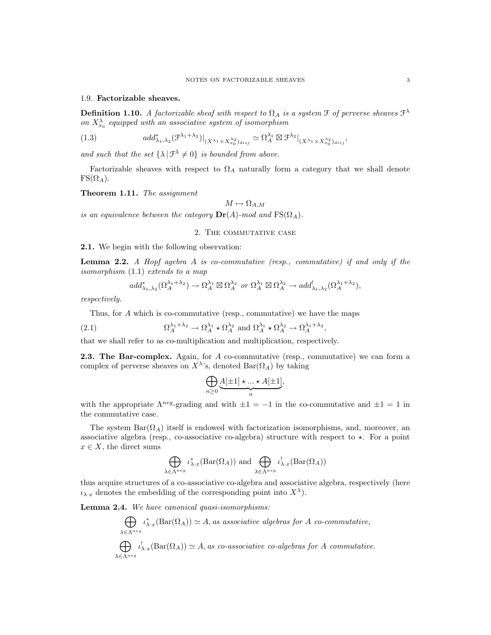### 1.9. Factorizable sheaves.

**Definition 1.10.** A factorizable sheaf with respect to  $\Omega_A$  is a system  $\mathcal F$  of perverse sheaves  $\mathcal F^{\lambda}$ on  $X_{x_0}^{\lambda}$  equipped with an associative system of isomorphism

(1.3) 
$$
add_{\lambda_1,\lambda_2}^*(\mathcal{F}^{\lambda_1+\lambda_2})|_{(X^{\lambda_1}\times X_{x_0}^{\lambda_2})_{disj}} \simeq \Omega_A^{\lambda_1} \boxtimes \mathcal{F}^{\lambda_2}|_{(X^{\lambda_1}\times X_{x_0}^{\lambda_2})_{disj}},
$$

and such that the set  $\{\lambda | \mathcal{F}^{\lambda} \neq 0\}$  is bounded from above.

Factorizable sheaves with respect to  $\Omega_A$  naturally form a category that we shall denote  $\text{FS}(\Omega_A)$ .

Theorem 1.11. The assignment

$$
M\mapsto \Omega_{A,M}
$$

is an equivalence between the category  $\mathbf{Dr}(A)$ -mod and  $\text{FS}(\Omega_A)$ .

2. The commutative case

2.1. We begin with the following observation:

**Lemma 2.2.** A Hopf agebra A is co-commutative (resp., commutative) if and only if the isomorphism (1.1) extends to a map

$$
add^*_{\lambda_1,\lambda_2}(\Omega_A^{\lambda_1+\lambda_2}) \to \Omega_A^{\lambda_1} \boxtimes \Omega_A^{\lambda_2} \text{ or } \Omega_A^{\lambda_1} \boxtimes \Omega_A^{\lambda_2} \to add^!_{\lambda_1,\lambda_2}(\Omega_A^{\lambda_1+\lambda_2}),
$$

respectively.

Thus, for A which is co-commutative (resp., commutative) we have the maps

(2.1) 
$$
\Omega_A^{\lambda_1 + \lambda_2} \to \Omega_A^{\lambda_1} \star \Omega_A^{\lambda_2} \text{ and } \Omega_A^{\lambda_1} \star \Omega_A^{\lambda_2} \to \Omega_A^{\lambda_1 + \lambda_2},
$$

that we shall refer to as co-multiplication and multiplication, respectively.

2.3. The Bar-complex. Again, for A co-commutative (resp., commutative) we can form a complex of perverse sheaves on  $X^{\lambda}$ 's, denoted  $Bar(\Omega_A)$  by taking

$$
\bigoplus_{n\geq 0}\underbrace{A[\pm 1]\star \ldots \star A[\pm 1]}_n,
$$

with the appropriate  $\Lambda^{neg}$ -grading and with  $\pm 1 = -1$  in the co-commutative and  $\pm 1 = 1$  in the commutative case.

The system  $Bar(\Omega_A)$  itself is endowed with factorization isomorphisms, and, moreover, an associative algebra (resp., co-associative co-algebra) structure with respect to  $\star$ . For a point  $x \in X$ , the direct sums

$$
\bigoplus_{\lambda \in \Lambda^{neg}} \iota_{\lambda \cdot x}^*(Bar(\Omega_A)) \text{ and } \bigoplus_{\lambda \in \Lambda^{neg}} \iota_{\lambda \cdot x}^!(Bar(\Omega_A))
$$

thus acquire structures of a co-associative co-algebra and associative algebra, respectively (here  $\iota_{\lambda \cdot x}$  denotes the embedding of the corresponding point into  $X^{\lambda}$ ).

Lemma 2.4. We have canonical quasi-isomorphisms:

$$
\bigoplus_{\lambda \in \Lambda^{neg}} \iota_{\lambda \cdot x}^*(\text{Bar}(\Omega_A)) \simeq A, \text{ as associative algebras for } A \text{ co-commutative,}
$$
  

$$
\bigoplus_{\lambda \in \Lambda^{neg}} \iota_{\lambda \cdot x}^!(\text{Bar}(\Omega_A)) \simeq A, \text{ as co-associative co-algebras for } A \text{ commutative.}
$$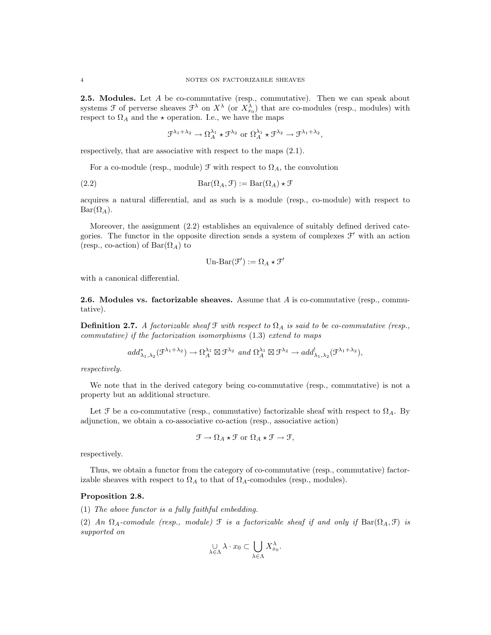2.5. Modules. Let A be co-commutative (resp., commutative). Then we can speak about systems  $\mathcal F$  of perverse sheaves  $\mathcal F^\lambda$  on  $X^\lambda$  (or  $X^\lambda_{x_0}$ ) that are co-modules (resp., modules) with respect to  $\Omega_A$  and the  $\star$  operation. I.e., we have the maps

 $\mathcal{F}^{\lambda_1+\lambda_2} \to \Omega_A^{\lambda_1} \star \mathcal{F}^{\lambda_2}$  or  $\Omega_A^{\lambda_1} \star \mathcal{F}^{\lambda_2} \to \mathcal{F}^{\lambda_1+\lambda_2}$ ,

respectively, that are associative with respect to the maps (2.1).

For a co-module (resp., module)  $\mathcal F$  with respect to  $\Omega_A$ , the convolution

(2.2) 
$$
Bar(\Omega_A, \mathcal{F}) := Bar(\Omega_A) \star \mathcal{F}
$$

acquires a natural differential, and as such is a module (resp., co-module) with respect to  $Bar(\Omega_A)$ .

Moreover, the assignment (2.2) establishes an equivalence of suitably defined derived categories. The functor in the opposite direction sends a system of complexes  $\mathcal{F}'$  with an action (resp., co-action) of  $Bar(\Omega_A)$  to

$$
\mathrm{Un}\text{-}\mathrm{Bar}(\mathcal{F}'):=\Omega_A\star\mathcal{F}'
$$

with a canonical differential.

**2.6.** Modules vs. factorizable sheaves. Assume that  $A$  is co-commutative (resp., commutative).

**Definition 2.7.** A factorizable sheaf  $\mathcal{F}$  with respect to  $\Omega_A$  is said to be co-commutative (resp., commutative) if the factorization isomorphisms (1.3) extend to maps

$$
add^*_{\lambda_1,\lambda_2}(\mathcal{F}^{\lambda_1+\lambda_2}) \to \Omega_A^{\lambda_1} \boxtimes \mathcal{F}^{\lambda_2} \text{ and } \Omega_A^{\lambda_1} \boxtimes \mathcal{F}^{\lambda_2} \to add^!_{\lambda_1,\lambda_2}(\mathcal{F}^{\lambda_1+\lambda_2}),
$$

respectively.

We note that in the derived category being co-commutative (resp., commutative) is not a property but an additional structure.

Let  $\mathcal F$  be a co-commutative (resp., commutative) factorizable sheaf with respect to  $\Omega_A$ . By adjunction, we obtain a co-associative co-action (resp., associative action)

$$
\mathcal{F} \to \Omega_A \star \mathcal{F} \text{ or } \Omega_A \star \mathcal{F} \to \mathcal{F},
$$

respectively.

Thus, we obtain a functor from the category of co-commutative (resp., commutative) factorizable sheaves with respect to  $\Omega_A$  to that of  $\Omega_A$ -comodules (resp., modules).

#### Proposition 2.8.

(1) The above functor is a fully faithful embedding.

(2) An  $\Omega_A$ -comodule (resp., module)  $\mathfrak F$  is a factorizable sheaf if and only if  $Bar(\Omega_A, \mathfrak F)$  is supported on

$$
\bigcup_{\lambda \in \Lambda} \lambda \cdot x_0 \subset \bigcup_{\lambda \in \Lambda} X_{x_0}^{\lambda}.
$$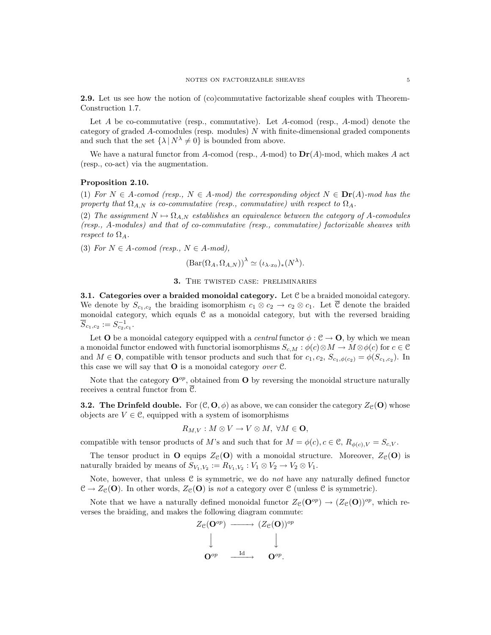2.9. Let us see how the notion of (co)commutative factorizable sheaf couples with Theorem-Construction 1.7.

Let  $A$  be co-commutative (resp., commutative). Let  $A$ -comod (resp.,  $A$ -mod) denote the category of graded A-comodules (resp. modules) N with finite-dimensional graded components and such that the set  $\{\lambda \mid N^{\lambda} \neq 0\}$  is bounded from above.

We have a natural functor from A-comod (resp., A-mod) to  $\mathbf{Dr}(A)$ -mod, which makes A act (resp., co-act) via the augmentation.

### Proposition 2.10.

(1) For  $N \in A$ -comod (resp.,  $N \in A$ -mod) the corresponding object  $N \in \mathbf{Dr}(A)$ -mod has the property that  $\Omega_{A,N}$  is co-commutative (resp., commutative) with respect to  $\Omega_A$ .

(2) The assignment  $N \mapsto \Omega_{A,N}$  establishes an equivalence between the category of A-comodules (resp., A-modules) and that of co-commutative (resp., commutative) factorizable sheaves with respect to  $\Omega_A$ .

(3) For  $N \in A$ -comod (resp.,  $N \in A$ -mod),

$$
(\text{Bar}(\Omega_A, \Omega_{A,N}))^{\lambda} \simeq (\iota_{\lambda \cdot x_0})_*(N^{\lambda}).
$$

### 3. The twisted case: preliminaries

**3.1.** Categories over a braided monoidal category. Let  $C$  be a braided monoidal category. We denote by  $S_{c_1,c_2}$  the braiding isomorphism  $c_1 \otimes c_2 \to c_2 \otimes c_1$ . Let C denote the braided monoidal category, which equals C as a monoidal category, but with the reversed braiding  $\overline{S}_{c_1,c_2} := S_{c_2,c_1}^{-1}.$ 

Let **O** be a monoidal category equipped with a *central* functor  $\phi : \mathcal{C} \to \mathbf{O}$ , by which we mean a monoidal functor endowed with functorial isomorphisms  $S_{c,M} : \phi(c) \otimes M \to M \otimes \phi(c)$  for  $c \in \mathfrak{C}$ and  $M \in \mathbf{O}$ , compatible with tensor products and such that for  $c_1, c_2, S_{c_1,\phi(c_2)} = \phi(S_{c_1,c_2})$ . In this case we will say that  $O$  is a monoidal category *over*  $C$ .

Note that the category  $\mathbf{O}^{op}$ , obtained from **O** by reversing the monoidal structure naturally receives a central functor from C.

**3.2.** The Drinfeld double. For  $(\mathcal{C}, \mathbf{O}, \phi)$  as above, we can consider the category  $Z_{\mathcal{C}}(\mathbf{O})$  whose objects are  $V \in \mathcal{C}$ , equipped with a system of isomorphisms

$$
R_{M,V}: M\otimes V\to V\otimes M,\ \forall M\in \mathbf{O},
$$

compatible with tensor products of M's and such that for  $M = \phi(c), c \in \mathcal{C}, R_{\phi(c),V} = S_{c,V}$ .

The tensor product in O equips  $Z_{\mathcal{C}}(O)$  with a monoidal structure. Moreover,  $Z_{\mathcal{C}}(O)$  is naturally braided by means of  $S_{V_1,V_2} := R_{V_1,V_2} : V_1 \otimes V_2 \to V_2 \otimes V_1$ .

Note, however, that unless  $C$  is symmetric, we do *not* have any naturally defined functor  $\mathcal{C} \to Z_{\mathcal{C}}(\mathbf{O})$ . In other words,  $Z_{\mathcal{C}}(\mathbf{O})$  is not a category over  $\mathcal{C}$  (unless  $\mathcal{C}$  is symmetric).

Note that we have a naturally defined monoidal functor  $Z_{\mathcal{C}}(\mathbf{O}^{op}) \to (Z_{\mathcal{C}}(\mathbf{O}))^{op}$ , which reverses the braiding, and makes the following diagram commute:

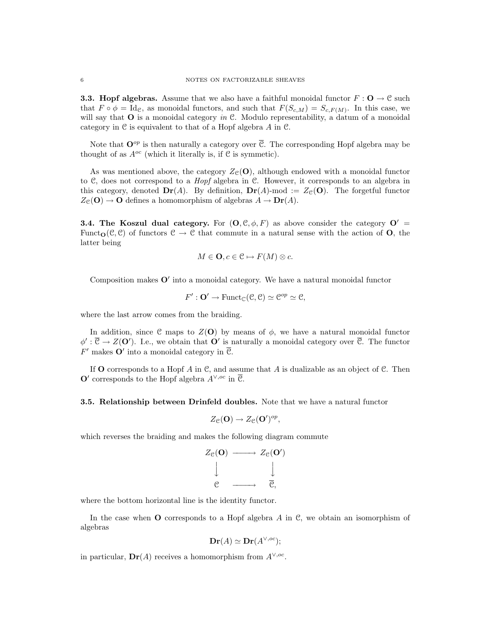**3.3. Hopf algebras.** Assume that we also have a faithful monoidal functor  $F: \mathbf{O} \to \mathcal{C}$  such that  $F \circ \phi = \text{Id}_{\mathcal{C}}$ , as monoidal functors, and such that  $F(S_{c,M}) = S_{c,F(M)}$ . In this case, we will say that  $O$  is a monoidal category in C. Modulo representability, a datum of a monoidal category in C is equivalent to that of a Hopf algebra A in C.

Note that  $\mathbf{O}^{op}$  is then naturally a category over  $\overline{C}$ . The corresponding Hopf algebra may be thought of as  $A^{oc}$  (which it literally is, if  $C$  is symmetic).

As was mentioned above, the category  $Z_{\mathcal{C}}(\mathbf{O})$ , although endowed with a monoidal functor to C, does not correspond to a Hopf algebra in C. However, it corresponds to an algebra in this category, denoted  $\mathbf{Dr}(A)$ . By definition,  $\mathbf{Dr}(A)$ -mod :=  $Z_{\mathcal{C}}(\mathbf{O})$ . The forgetful functor  $Z_{\mathcal{C}}(\mathbf{O}) \to \mathbf{O}$  defines a homomorphism of algebras  $A \to \mathbf{Dr}(A)$ .

**3.4.** The Koszul dual category. For  $(0, \mathcal{C}, \phi, F)$  as above consider the category  $O' =$ Funct<sub>O</sub>(C, C) of functors  $C \to C$  that commute in a natural sense with the action of O, the latter being

$$
M \in \mathbf{O}, c \in \mathcal{C} \mapsto F(M) \otimes c.
$$

Composition makes  $O'$  into a monoidal category. We have a natural monoidal functor

$$
F': \mathbf{O}' \to \mathrm{Funct}_{\mathbb{C}}(\mathcal{C}, \mathcal{C}) \simeq \mathcal{C}^{op} \simeq \mathcal{C},
$$

where the last arrow comes from the braiding.

In addition, since C maps to  $Z(\mathbf{O})$  by means of  $\phi$ , we have a natural monoidal functor  $\phi': \overline{\mathcal{C}} \to Z(\mathbf{O}')$ . I.e., we obtain that  $\mathbf{O}'$  is naturally a monoidal category over  $\overline{\mathcal{C}}$ . The functor  $F'$  makes  $\mathbf{O}'$  into a monoidal category in  $\overline{\mathcal{C}}$ .

If **O** corresponds to a Hopf A in  $\mathcal{C}$ , and assume that A is dualizable as an object of  $\mathcal{C}$ . Then O' corresponds to the Hopf algebra  $A^{\vee,oc}$  in  $\overline{C}$ .

#### 3.5. Relationship between Drinfeld doubles. Note that we have a natural functor

$$
Z_{\mathfrak{C}}(\mathbf{O}) \to Z_{\mathfrak{C}}(\mathbf{O}')^{op},
$$

which reverses the braiding and makes the following diagram commute

$$
Z_{e}(\mathbf{O}) \longrightarrow Z_{e}(\mathbf{O}')
$$
  

$$
\downarrow \qquad \qquad \downarrow
$$
  

$$
e \longrightarrow \overline{e},
$$

where the bottom horizontal line is the identity functor.

In the case when  $O$  corresponds to a Hopf algebra  $A$  in  $C$ , we obtain an isomorphism of algebras

$$
\mathbf{Dr}(A) \simeq \mathbf{Dr}(A^{\vee,oc});
$$

in particular,  $\mathbf{Dr}(A)$  receives a homomorphism from  $A^{\vee,oc}$ .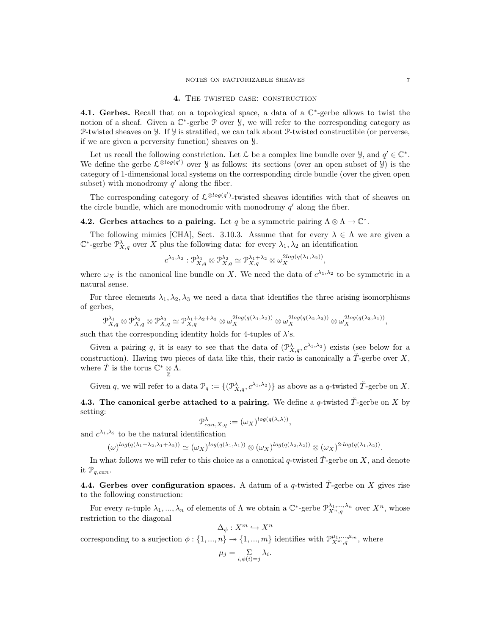#### 4. The twisted case: construction

4.1. Gerbes. Recall that on a topological space, a data of a  $\mathbb{C}^*$ -gerbe allows to twist the notion of a sheaf. Given a  $\mathbb{C}^*$ -gerbe *P* over *Y*, we will refer to the corresponding category as P-twisted sheaves on Y. If Y is stratified, we can talk about P-twisted constructible (or perverse, if we are given a perversity function) sheaves on Y.

Let us recall the following constriction. Let  $\mathcal L$  be a complex line bundle over  $\mathcal Y$ , and  $q' \in \mathbb C^*$ . We define the gerbe  $\mathcal{L}^{\otimes log(q')}$  over  $\mathcal Y$  as follows: its sections (over an open subset of  $\mathcal Y$ ) is the category of 1-dimensional local systems on the corresponding circle bundle (over the given open subset) with monodromy  $q'$  along the fiber.

The corresponding category of  $\mathcal{L}^{\otimes log(q')}$ -twisted sheaves identifies with that of sheaves on the circle bundle, which are monodromic with monodromy  $q'$  along the fiber.

# **4.2.** Gerbes attaches to a pairing. Let q be a symmetric pairing  $\Lambda \otimes \Lambda \to \mathbb{C}^*$ .

The following mimics [CHA], Sect. 3.10.3. Assume that for every  $\lambda \in \Lambda$  we are given a  $\mathbb{C}^*$ -gerbe  $\mathcal{P}_{X,q}^{\lambda}$  over X plus the following data: for every  $\lambda_1, \lambda_2$  an identification

$$
c^{\lambda_1, \lambda_2}: \mathcal{P}_{X,q}^{\lambda_1} \otimes \mathcal{P}_{X,q}^{\lambda_2} \simeq \mathcal{P}_{X,q}^{\lambda_1 + \lambda_2} \otimes \omega_X^{2log(q(\lambda_1, \lambda_2))},
$$

where  $\omega_X$  is the canonical line bundle on X. We need the data of  $c^{\lambda_1,\lambda_2}$  to be symmetric in a natural sense.

For three elements  $\lambda_1, \lambda_2, \lambda_3$  we need a data that identifies the three arising isomorphisms of gerbes,

$$
\mathcal{P}^{\lambda_1}_{X,q}\otimes\mathcal{P}^{\lambda_2}_{X,q}\otimes\mathcal{P}^{\lambda_3}_{X,q}\simeq\mathcal{P}^{\lambda_1+\lambda_2+\lambda_3}_{X,q}\otimes\omega_X^{2log(q(\lambda_1,\lambda_2))}\otimes\omega_X^{2log(q(\lambda_2,\lambda_3))}\otimes\omega_X^{2log(q(\lambda_3,\lambda_1))},
$$

such that the corresponding identity holds for 4-tuples of  $\lambda$ 's.

Given a pairing q, it is easy to see that the data of  $(\mathcal{P}_{X,q}^{\lambda}, c^{\lambda_1,\lambda_2})$  exists (see below for a construction). Having two pieces of data like this, their ratio is canonically a  $\tilde{T}$ -gerbe over X, where  $\check{T}$  is the torus  $\mathbb{C}^* \underset{\mathbb{Z}}{\otimes} \Lambda$ .

Given q, we will refer to a data  $\mathcal{P}_q := \{(\mathcal{P}_{X,q}^{\lambda}, c^{\lambda_1, \lambda_2})\}$  as above as a q-twisted  $\check{T}$ -gerbe on X.

4.3. The canonical gerbe attached to a pairing. We define a q-twisted  $\tilde{T}$ -gerbe on X by setting:

$$
\mathcal{P}_{can,X,q}^{\lambda} := (\omega_X)^{log(q(\lambda,\lambda))}
$$

,

and  $c^{\lambda_1,\lambda_2}$  to be the natural identification

 $(\omega)^{log(q(\lambda_1+\lambda_2,\lambda_1+\lambda_2))} \simeq (\omega_X)^{log(q(\lambda_1,\lambda_1))} \otimes (\omega_X)^{log(q(\lambda_2,\lambda_2))} \otimes (\omega_X)^{2 \cdot log(q(\lambda_1,\lambda_2))}.$ 

In what follows we will refer to this choice as a canonical q-twisted  $\tilde{T}$ -gerbe on X, and denote it  $\mathcal{P}_{q,can}$ .

4.4. Gerbes over configuration spaces. A datum of a q-twisted  $\check{T}$ -gerbe on X gives rise to the following construction:

For every *n*-tuple  $\lambda_1, ..., \lambda_n$  of elements of  $\Lambda$  we obtain a  $\mathbb{C}^*$ -gerbe  $\mathcal{P}_{X^n,q}^{\lambda_1,...,\lambda_n}$  over  $X^n$ , whose restriction to the diagonal

$$
\Delta_{\phi}: X^m \hookrightarrow X^n
$$

corresponding to a surjection  $\phi: \{1, ..., n\} \to \{1, ..., m\}$  identifies with  $\mathcal{P}_{X^m,q}^{\mu_1,...,\mu_m}$ , where

$$
\mu_j = \sum_{i,\phi(i)=j} \lambda_i
$$

.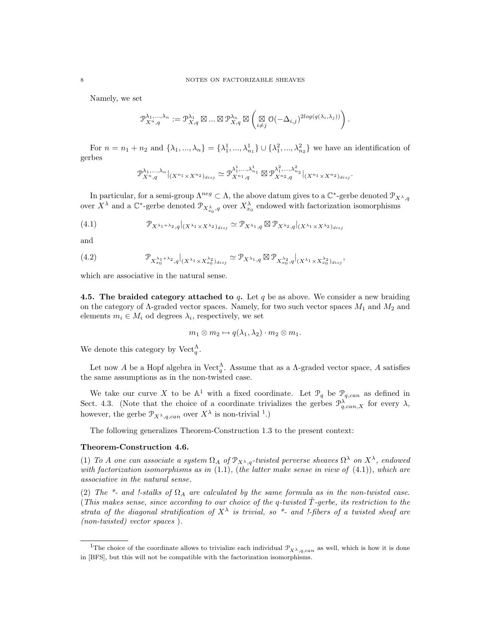Namely, we set

$$
\mathcal{P}_{X^{n},q}^{\lambda_1,\ldots,\lambda_n} := \mathcal{P}_{X,q}^{\lambda_1} \boxtimes \ldots \boxtimes \mathcal{P}_{X,q}^{\lambda_n} \boxtimes \left( \underset{i \neq j}{\boxtimes} \mathcal{O}(-\Delta_{i,j})^{2log(q(\lambda_i,\lambda_j))} \right).
$$

For  $n = n_1 + n_2$  and  $\{\lambda_1, ..., \lambda_n\} = \{\lambda_1^1, ..., \lambda_{n_1}^1\} \cup \{\lambda_1^2, ..., \lambda_{n_2}^2\}$  we have an identification of gerbes

$$
\mathcal{P}_{X^{n},q}^{\lambda_{1},...,\lambda_{n}}|_{(X^{n_{1}} \times X^{n_{2}})_{disj}} \simeq \mathcal{P}_{X^{n_{1}},q}^{\lambda_{1}^{1},...,\lambda_{n_{1}}^{1}} \boxtimes \mathcal{P}_{X^{n_{2}},q}^{\lambda_{1}^{2},...,\lambda_{n_{2}}^{2}}|_{(X^{n_{1}} \times X^{n_{2}})_{disj}}.
$$

In particular, for a semi-group  $\Lambda^{neg} \subset \Lambda$ , the above datum gives to a  $\mathbb{C}^*$ -gerbe denoted  $\mathcal{P}_{X^{\lambda},q}$ over  $X^{\lambda}$  and a  $\mathbb{C}^*$ -gerbe denoted  $\mathcal{P}_{X^{\lambda}_{x_0},q}$  over  $X^{\lambda}_{x_0}$  endowed with factorization isomorphisms

(4.1) 
$$
\mathcal{P}_{X^{\lambda_1+\lambda_2},q}|_{(X^{\lambda_1}\times X^{\lambda_2})_{disj}} \simeq \mathcal{P}_{X^{\lambda_1},q} \boxtimes \mathcal{P}_{X^{\lambda_2},q}|_{(X^{\lambda_1}\times X^{\lambda_2})_{disj}}
$$

and

(4.2) 
$$
\mathcal{P}_{X_{x_0}^{\lambda_1+\lambda_2},q}|_{(X^{\lambda_1}\times X_{x_0}^{\lambda_2})_{disj}} \simeq \mathcal{P}_{X^{\lambda_1},q} \boxtimes \mathcal{P}_{X_{x_0}^{\lambda_2},q}|_{(X^{\lambda_1}\times X_{x_0}^{\lambda_2})_{disj}},
$$

which are associative in the natural sense.

4.5. The braided category attached to q. Let q be as above. We consider a new braiding on the category of  $\Lambda$ -graded vector spaces. Namely, for two such vector spaces  $M_1$  and  $M_2$  and elements  $m_i \in M_i$  od degrees  $\lambda_i$ , respectively, we set

$$
m_1 \otimes m_2 \mapsto q(\lambda_1, \lambda_2) \cdot m_2 \otimes m_1.
$$

We denote this category by  $Vect_q^{\Lambda}$ .

Let now A be a Hopf algebra in Vect<sup>A</sup><sub>q</sub>. Assume that as a A-graded vector space, A satisfies the same assumptions as in the non-twisted case.

We take our curve X to be  $\mathbb{A}^1$  with a fixed coordinate. Let  $\mathcal{P}_q$  be  $\mathcal{P}_{q,can}$  as defined in Sect. 4.3. (Note that the choice of a coordinate trivializes the gerbes  $\mathcal{P}^{\lambda}_{q,can,X}$  for every  $\lambda$ , however, the gerbe  $\mathcal{P}_{X^{\lambda},q,can}$  over  $X^{\lambda}$  is non-trivial <sup>1</sup>.)

The following generalizes Theorem-Construction 1.3 to the present context:

#### Theorem-Construction 4.6.

(1) To A one can associate a system  $\Omega_A$  of  $\mathcal{P}_{X^{\lambda},q}$ -twisted perverse sheaves  $\Omega^{\lambda}$  on  $X^{\lambda}$ , endowed with factorization isomorphisms as in  $(1.1)$ , (the latter make sense in view of  $(4.1)$ ), which are associative in the natural sense.

(2) The  $*$ - and !-stalks of  $\Omega_A$  are calculated by the same formula as in the non-twisted case. (This makes sense, since according to our choice of the q-twisted  $\tilde{T}$ -gerbe, its restriction to the strata of the diagonal stratification of  $X^{\lambda}$  is trivial, so  $*$ - and *!-fibers* of a twisted sheaf are (non-twisted) vector spaces ).

<sup>&</sup>lt;sup>1</sup>The choice of the coordinate allows to trivialize each individual  $\mathcal{P}_{X\lambda,q,can}$  as well, which is how it is done in [BFS], but this will not be compatible with the factorization isomorphisms.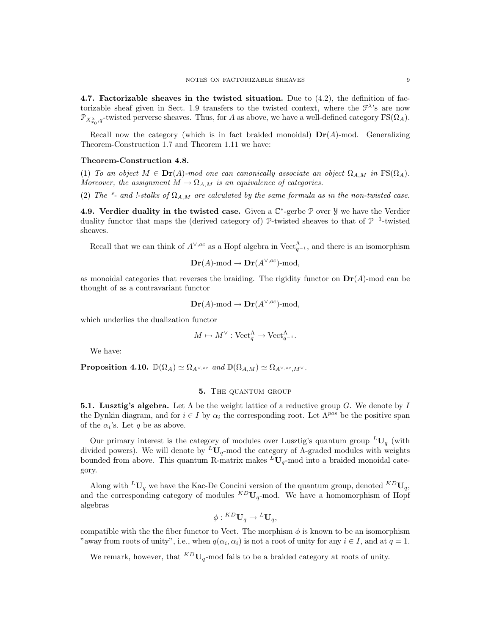4.7. Factorizable sheaves in the twisted situation. Due to (4.2), the definition of factorizable sheaf given in Sect. 1.9 transfers to the twisted context, where the  $\mathcal{F}^{\lambda}$ 's are now  $\mathcal{P}_{X^{\lambda}_{x_0},q}$ -twisted perverse sheaves. Thus, for A as above, we have a well-defined category  $\text{FS}(\Omega_A)$ .

Recall now the category (which is in fact braided monoidal)  $\mathbf{Dr}(A)$ -mod. Generalizing Theorem-Construction 1.7 and Theorem 1.11 we have:

#### Theorem-Construction 4.8.

(1) To an object  $M \in \mathbf{Dr}(A)$ -mod one can canonically associate an object  $\Omega_{A,M}$  in  $\text{FS}(\Omega_A)$ . Moreover, the assignment  $M \to \Omega_{A,M}$  is an equivalence of categories.

(2) The \*- and !-stalks of  $\Omega_{AM}$  are calculated by the same formula as in the non-twisted case.

4.9. Verdier duality in the twisted case. Given a  $\mathbb{C}^*$ -gerbe  $\mathcal P$  over  $\mathcal Y$  we have the Verdier duality functor that maps the (derived category of)  $\mathcal{P}$ -twisted sheaves to that of  $\mathcal{P}^{-1}$ -twisted sheaves.

Recall that we can think of  $A^{\vee,oc}$  as a Hopf algebra in Vect<sub>q</sub><sup>1</sup>, and there is an isomorphism

$$
\mathbf{Dr}(A) \text{-mod} \to \mathbf{Dr}(A^{\vee,oc}) \text{-mod},
$$

as monoidal categories that reverses the braiding. The rigidity functor on  $\mathbf{Dr}(A)$ -mod can be thought of as a contravariant functor

$$
\mathbf{Dr}(A) \text{-mod} \to \mathbf{Dr}(A^{\vee,oc}) \text{-mod},
$$

which underlies the dualization functor

$$
M\mapsto M^\vee:\mathrm{Vect}^\Lambda_q\to\mathrm{Vect}^\Lambda_{q^{-1}}.
$$

We have:

**Proposition 4.10.**  $\mathbb{D}(\Omega_A) \simeq \Omega_{A^{\vee,oc}}$  and  $\mathbb{D}(\Omega_{A,M}) \simeq \Omega_{A^{\vee,oc},M^{\vee}}$ .

#### 5. THE QUANTUM GROUP

**5.1. Lusztig's algebra.** Let  $\Lambda$  be the weight lattice of a reductive group G. We denote by I the Dynkin diagram, and for  $i \in I$  by  $\alpha_i$  the corresponding root. Let  $\Lambda^{pos}$  be the positive span of the  $\alpha_i$ 's. Let q be as above.

Our primary interest is the category of modules over Lusztig's quantum group  ${}^L\mathbf{U}_q$  (with divided powers). We will denote by  ${}^L\mathbf{U}_q$ -mod the category of  $\Lambda$ -graded modules with weights bounded from above. This quantum R-matrix makes  ${}^L\mathbf{U}_q$ -mod into a braided monoidal category.

Along with  ${}^L\mathbf{U}_q$  we have the Kac-De Concini version of the quantum group, denoted  ${}^{KD}\mathbf{U}_q$ , and the corresponding category of modules  ${}^{KD}U_q$ -mod. We have a homomorphism of Hopf algebras

$$
\phi: {}^{KD}\mathbf{U}_q\to {}^L\mathbf{U}_q,
$$

compatible with the the fiber functor to Vect. The morphism  $\phi$  is known to be an isomorphism "away from roots of unity", i.e., when  $q(\alpha_i, \alpha_i)$  is not a root of unity for any  $i \in I$ , and at  $q = 1$ .

We remark, however, that  ${}^{KD}U_q$ -mod fails to be a braided category at roots of unity.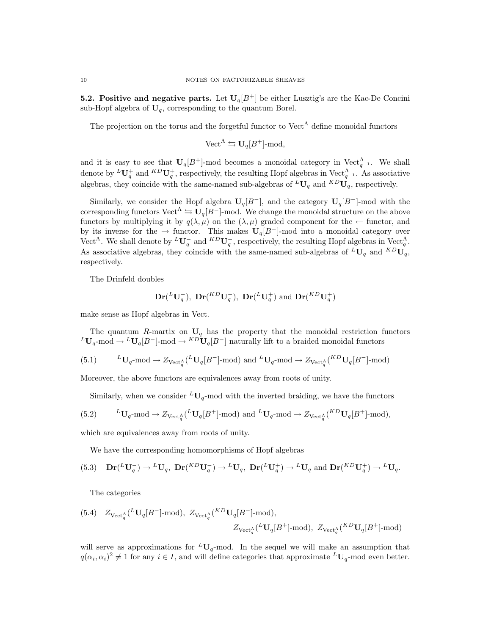**5.2. Positive and negative parts.** Let  $\mathbf{U}_q[B^+]$  be either Lusztig's are the Kac-De Concini sub-Hopf algebra of  $U_q$ , corresponding to the quantum Borel.

The projection on the torus and the forgetful functor to  $Vect^{\Lambda}$  define monoidal functors

$$
\text{Vect}^{\Lambda} \leftrightarrows \mathbf{U}_q[B^+] \text{-mod},
$$

and it is easy to see that  $U_q[B^+]$ -mod becomes a monoidal category in Vect<sub>q<sup>-1</sub></sup>. We shall</sub> denote by  ${}^L\mathbf{U}_q^+$  and  ${}^{KD}\mathbf{U}_q^+$ , respectively, the resulting Hopf algebras in Vect $_{q^{-1}}^{\Lambda}$ . As associative algebras, they coincide with the same-named sub-algebras of  ${}^L\mathbf{U}_q$  and  ${}^{KD}\mathbf{U}_q$ , respectively.

Similarly, we consider the Hopf algebra  $U_q[B^-]$ , and the category  $U_q[B^-]$ -mod with the corresponding functors  $Vect^{\Lambda} \leftrightarrows U_q[B^-]$ -mod. We change the monoidal structure on the above functors by multiplying it by  $q(\lambda, \mu)$  on the  $(\lambda, \mu)$  graded component for the  $\leftarrow$  functor, and by its inverse for the  $\rightarrow$  functor. This makes  $U_q[B^-]$ -mod into a monoidal category over Vect<sup>A</sup>. We shall denote by  ${}^L\mathbf{U}_q^-$  and  ${}^{KD}\mathbf{U}_q^-$ , respectively, the resulting Hopf algebras in Vect<sub>a</sub><sup>A</sup>. As associative algebras, they coincide with the same-named sub-algebras of  ${}^L\textbf{U}_q$  and  ${}^{KD}\textbf{U}_q$ , respectively.

The Drinfeld doubles

$$
\mathbf{Dr}(^L\mathbf{U}_q^-), \ \mathbf{Dr}(^{KD}\mathbf{U}_q^-), \ \mathbf{Dr}(^L\mathbf{U}_q^+) \ \text{and} \ \mathbf{Dr}(^{KD}\mathbf{U}_q^+)
$$

make sense as Hopf algebras in Vect.

The quantum R-martix on  $U_q$  has the property that the monoidal restriction functors  ${}^L\mathbf{U}_q$ -mod  $\to {}^L\mathbf{U}_q[B^-]$ -mod  $\to {}^{KD}\mathbf{U}_q[B^-]$  naturally lift to a braided monoidal functors

(5.1) 
$$
L_{\mathbf{U}_q\text{-mod}} \to Z_{\text{Vect}_q^{\Lambda}}(L_{\mathbf{U}_q}[B^-]\text{-mod})
$$
 and  $L_{\mathbf{U}_q\text{-mod}} \to Z_{\text{Vect}_q^{\Lambda}}(K^D \mathbf{U}_q[B^-]\text{-mod})$ 

Moreover, the above functors are equivalences away from roots of unity.

Similarly, when we consider  ${}^L\mathbf{U}_q$ -mod with the inverted braiding, we have the functors

(5.2) 
$$
{}^{L}\mathbf{U}_{q}\text{-mod} \to Z_{\mathrm{Vect}_{q}^{\Lambda}}({}^{L}\mathbf{U}_{q}[B^{+}]\text{-mod}) \text{ and } {}^{L}\mathbf{U}_{q}\text{-mod} \to Z_{\mathrm{Vect}_{q}^{\Lambda}}({}^{KD}\mathbf{U}_{q}[B^{+}]\text{-mod}),
$$

which are equivalences away from roots of unity.

We have the corresponding homomorphisms of Hopf algebras

(5.3) 
$$
\mathbf{Dr}(^L \mathbf{U}_q^-) \to {}^L \mathbf{U}_q
$$
,  $\mathbf{Dr}(^{KD} \mathbf{U}_q^-) \to {}^L \mathbf{U}_q$ ,  $\mathbf{Dr}(^L \mathbf{U}_q^+) \to {}^L \mathbf{U}_q$  and  $\mathbf{Dr}(^{KD} \mathbf{U}_q^+) \to {}^L \mathbf{U}_q$ .

The categories

(5.4) 
$$
Z_{\text{Vect}_q^{\Lambda}}(^L \mathbf{U}_q[B^-]\text{-mod}), Z_{\text{Vect}_q^{\Lambda}}(^{KD} \mathbf{U}_q[B^-]\text{-mod}),
$$
  
 $Z_{\text{Vect}_q^{\Lambda}}(^L \mathbf{U}_q[B^+]\text{-mod}), Z_{\text{Vect}_q^{\Lambda}}(^{KD} \mathbf{U}_q[B^+]\text{-mod})$ 

will serve as approximations for  ${}^L\textbf{U}_q$ -mod. In the sequel we will make an assumption that  $q(\alpha_i, \alpha_i)^2 \neq 1$  for any  $i \in I$ , and will define categories that approximate  ${}^L\mathbf{U}_q$ -mod even better.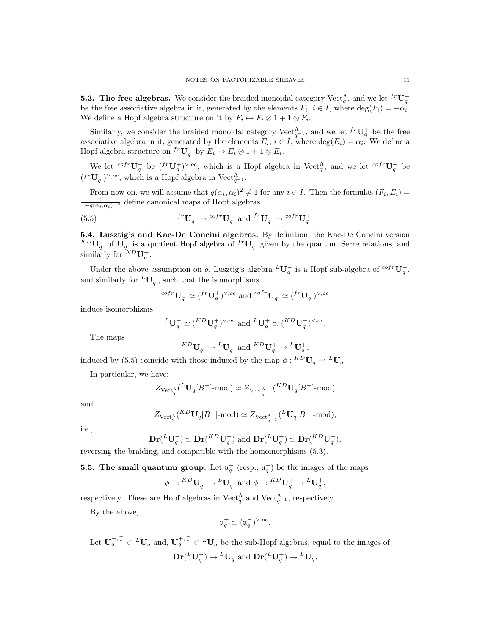**5.3. The free algebras.** We consider the braided monoidal category  $Vect_q^{\Lambda}$ , and we let  ${}^{fr}\mathbf{U}_q^$ be the free associative algebra in it, generated by the elements  $F_i$ ,  $i \in I$ , where  $\deg(F_i) = -\alpha_i$ . We define a Hopf algebra structure on it by  $F_i \mapsto F_i \otimes 1 + 1 \otimes F_i$ .

Similarly, we consider the braided monoidal category  $\text{Vect}_{q^{-1}}^{\Lambda}$ , and we let  ${}^{f_r}\mathbf{U}_q^+$  be the free associative algebra in it, generated by the elements  $E_i$ ,  $i \in I$ , where  $\deg(E_i) = \alpha_i$ . We define a Hopf algebra structure on  ${}^{fr}\mathbf{U}_q^+$  by  $E_i \mapsto E_i \otimes 1 + 1 \otimes E_i$ .

We let  ${}^{cofr}U_q^-$  be  $({}^{fr}U_q^+)^{\vee,oc}$ , which is a Hopf algebra in Vect<sup>A</sup><sub>q</sub>, and we let  ${}^{cofr}U_q^+$  be  $({}^{fr}\mathbf{U}^-_q)^{\vee,oc}$ , which is a Hopf algebra in Vect $_{q^{-1}}^{\Lambda}$ .

From now on, we will assume that  $q(\alpha_i, \alpha_i)^2 \neq 1$  for any  $i \in I$ . Then the formulas  $(F_i, E_i) =$  $\frac{1}{1-q(\alpha_i,\alpha_i)^{-2}}$  define canonical maps of Hopf algebras

(5.5) 
$$
{}^{fr}\mathbf{U}_q^- \to {}^{cofr}\mathbf{U}_q^- \text{ and } {}^{fr}\mathbf{U}_q^+ \to {}^{cofr}\mathbf{U}_q^+.
$$

5.4. Lusztig's and Kac-De Concini algebras. By definition, the Kac-De Concini version  ${}^{KD}U_q^-$  of  $U_q^-$  is a quotient Hopf algebra of  ${}^{fr}U_q^-$  given by the quantum Serre relations, and similarly for  $^{KD}U_q^+$ .

Under the above assumption on q, Lusztig's algebra  ${}^L\mathbf{U}_q^-$  is a Hopf sub-algebra of  ${}^{cofr}\mathbf{U}_q^-$ , and similarly for  ${}^L\mathbf{U}_q^+$ , such that the isomorphisms

$$
^{cofr}\mathbf{U}_q^- \simeq ({}^{fr}\mathbf{U}_q^+)^{\vee,oc}
$$
 and  ${}^{cofr}\mathbf{U}_q^+ \simeq ({}^{fr}\mathbf{U}_q^-)^{\vee,oc}$ 

induce isomorphisms

$$
{}^{L}\mathbf{U}_{q}^{-} \simeq ({}^{KD}\mathbf{U}_{q}^{+})^{\vee,oc} \text{ and } {}^{L}\mathbf{U}_{q}^{+} \simeq ({}^{KD}\mathbf{U}_{q}^{-})^{\vee,oc}.
$$

The maps

$$
{}^{KD}\mathbf{U}_q^- \rightarrow {}^L\mathbf{U}_q^- \text{ and } {}^{KD}\mathbf{U}_q^+ \rightarrow {}^L\mathbf{U}_q^+,
$$

induced by (5.5) coincide with those induced by the map  $\phi: {}^{KD}U_q \to {}^LU_q$ .

In particular, we have:

$$
Z_{\mathrm{Vect}_q^{\Lambda}}(^L\mathbf{U}_q[B^-]\text{-mod}) \simeq Z_{\mathrm{Vect}_{q-1}^{\Lambda}}(^{KD}\mathbf{U}_q[B^+]\text{-mod})
$$

and

$$
Z_{\mathrm{Vect}_q^{\Lambda}}(^{KD}\mathbf{U}_q[B^-]\text{-}\mathrm{mod}) \simeq Z_{\mathrm{Vect}_{q^{-1}}^{\Lambda}}(^{L}\mathbf{U}_q[B^+]\text{-}\mathrm{mod}),
$$

i.e.,

$$
\mathbf{Dr}(^L\mathbf{U}_q^-) \simeq \mathbf{Dr}(^{KD}\mathbf{U}_q^+) \text{ and } \mathbf{Dr}(^L\mathbf{U}_q^+) \simeq \mathbf{Dr}(^{KD}\mathbf{U}_q^-),
$$

reversing the braiding, and compatible with the homomorphisms (5.3).

**5.5. The small quantum group.** Let  $\mathfrak{u}_q^-$  (resp.,  $\mathfrak{u}_q^+$ ) be the images of the maps

$$
\phi^-
$$
:  ${}^{KD}\mathbf{U}_q^- \rightarrow {}^L\mathbf{U}_q^-$  and  $\phi^-$ :  ${}^{KD}\mathbf{U}_q^+ \rightarrow {}^L\mathbf{U}_q^+$ ,

respectively. These are Hopf algebras in  $\mathrm{Vect}_q^{\Lambda}$  and  $\mathrm{Vect}_{q^{-1}}^{\Lambda}$ , respectively.

By the above,

$$
\mathfrak{u}_q^+ \simeq (\mathfrak{u}_q^-)^{\vee,oc}.
$$

Let  $\mathbf{U}_q^{-,\frac{1}{2}} \subset L \mathbf{U}_q$  and,  $\mathbf{U}_q^{+,\frac{-}{2}} \subset L \mathbf{U}_q$  be the sub-Hopf algebras, equal to the images of  $\mathbf{Dr}({}^L\mathbf{U}_q^-)\to {}^L\mathbf{U}_q$  and  $\mathbf{Dr}({}^L\mathbf{U}_q^+)\to {}^L\mathbf{U}_q$ ,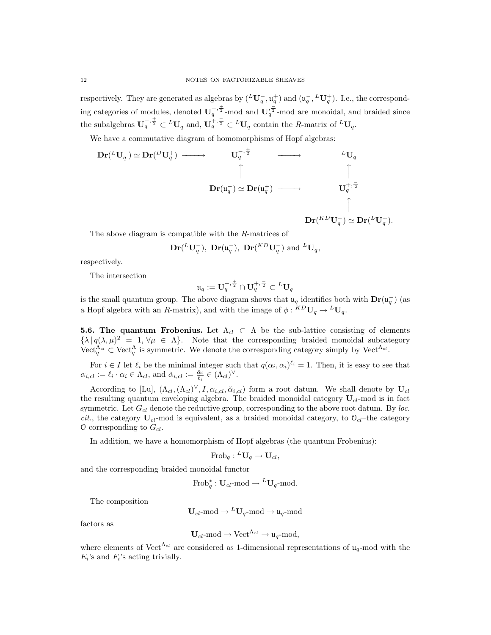respectively. They are generated as algebras by  $({}^L\mathbf{U}^-_q, \mathfrak{u}^+_q)$  and  $(\mathfrak{u}^-_q, {}^L\mathbf{U}^+_q)$ . I.e., the corresponding categories of modules, denoted  $\mathbf{U}_q^{-,\frac{1}{2}}$ -mod and  $\mathbf{U}_q^{,\frac{1}{2}}$ -mod are monoidal, and braided since the subalgebras  $\mathbf{U}_q^{-,\frac{1}{2}} \subset L\mathbf{U}_q$  and,  $\mathbf{U}_q^{+,\frac{-}{2}} \subset L\mathbf{U}_q$  contain the R-matrix of  $^L\mathbf{U}_q$ .

We have a commutative diagram of homomorphisms of Hopf algebras:

$$
\mathbf{Dr}(^{L}\mathbf{U}_{q}^{-}) \simeq \mathbf{Dr}(^{D}\mathbf{U}_{q}^{+}) \longrightarrow \qquad \mathbf{U}_{q}^{-,\frac{1}{2}} \qquad \longrightarrow \qquad \qquad ^{L}\mathbf{U}_{q}
$$
\n
$$
\uparrow \qquad \qquad \uparrow \qquad \qquad \uparrow
$$
\n
$$
\mathbf{Dr}(\mathfrak{u}_{q}^{-}) \simeq \mathbf{Dr}(\mathfrak{u}_{q}^{+}) \longrightarrow \qquad \qquad \mathbf{U}_{q}^{+,\frac{1}{2}}
$$
\n
$$
\uparrow \qquad \qquad \uparrow
$$
\n
$$
\mathbf{Dr}(^{KD}\mathbf{U}_{q}^{-}) \simeq \mathbf{Dr}(^{L}\mathbf{U}_{q}^{+}).
$$

The above diagram is compatible with the R-matrices of

$$
\mathbf{Dr}(\ {}^L\mathbf{U}_q^-), \ \mathbf{Dr}(\mathfrak{u}_q^-), \ \mathbf{Dr}(\ {}^{KD}\mathbf{U}_q^-) \ \text{and} \ {}^L\mathbf{U}_q,
$$

respectively.

The intersection

$$
\mathfrak{u}_q:=\mathbf{U}_q^{-,\frac{1}{2}}\cap \mathbf{U}_q^{+,\frac{-}{2}}\subset {}^L\mathbf{U}_q
$$

is the small quantum group. The above diagram shows that  $\mathfrak{u}_q$  identifies both with  $\mathbf{Dr}(\mathfrak{u}_q^-)$  (as a Hopf algebra with an R-matrix), and with the image of  $\phi: {}^{KD}U_q \to {}^LU_q$ .

**5.6. The quantum Frobenius.** Let  $\Lambda_{cl} \subset \Lambda$  be the sub-lattice consisting of elements  ${\lambda | q(\lambda, \mu)^2 = 1, \forall \mu \in \Lambda}.$  Note that the corresponding braided monoidal subcategory  $\mathrm{Vect}_q^{\Lambda_{cl}} \subset \mathrm{Vect}_q^{\Lambda}$  is symmetric. We denote the corresponding category simply by  $\mathrm{Vect}^{\Lambda_{cl}}$ .

For  $i \in I$  let  $\ell_i$  be the minimal integer such that  $q(\alpha_i, \alpha_i)^{\ell_i} = 1$ . Then, it is easy to see that  $\alpha_{i,cl} := \ell_i \cdot \alpha_i \in \Lambda_{cl}$ , and  $\check{\alpha}_{i,cl} := \frac{\check{\alpha}_i}{\ell_i} \in (\Lambda_{cl})^{\vee}$ .

According to [Lu],  $(\Lambda_{cl}, (\Lambda_{cl})^{\vee}, I, \alpha_{i,cl}, \check{\alpha}_{i,cl})$  form a root datum. We shall denote by  $U_{cl}$ the resulting quantum enveloping algebra. The braided monoidal category  $U_{cl}$ -mod is in fact symmetric. Let  $G_{cl}$  denote the reductive group, corresponding to the above root datum. By loc. cit., the category  $U_{cl}$ -mod is equivalent, as a braided monoidal category, to  $\mathcal{O}_{cl}$ -the category  $\mathcal O$  corresponding to  $G_{cl}$ .

In addition, we have a homomorphism of Hopf algebras (the quantum Frobenius):

$$
\operatorname{Frob}_q: {}^L\mathbf{U}_q\to \mathbf{U}_{cl},
$$

and the corresponding braided monoidal functor

$$
\operatorname{Frob}_q^* : \mathbf{U}_{cl}\text{-mod} \to {}^L\mathbf{U}_q\text{-mod}.
$$

The composition

$$
\mathbf{U}_{cl}\text{-mod} \to {}^{L}\mathbf{U}_{q}\text{-mod} \to \mathfrak{u}_{q}\text{-mod}
$$

factors as

$$
\mathbf{U}_{cl}\text{-mod} \to \text{Vect}^{\Lambda_{cl}} \to \mathfrak{u}_q\text{-mod},
$$

where elements of Vect<sup> $\Lambda_{cl}$ </sup> are considered as 1-dimensional representations of  $\mu_q$ -mod with the  $E_i$ 's and  $F_i$ 's acting trivially.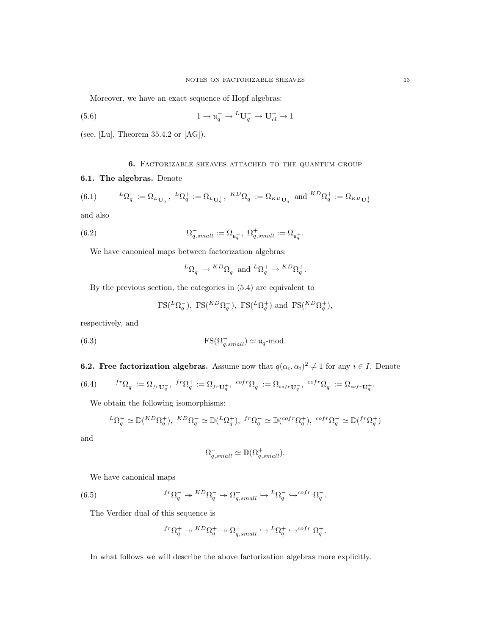Moreover, we have an exact sequence of Hopf algebras:

(5.6) 
$$
1 \rightarrow \mathfrak{u}_q^- \rightarrow {}^L \mathbf{U}_q^- \rightarrow \mathbf{U}_{cl}^- \rightarrow 1
$$

(see, [Lu], Theorem 35.4.2 or [AG]).

# 6. Factorizable sheaves attached to the quantum group

# 6.1. The algebras. Denote

(6.1) 
$$
{}^{L}\Omega_{q}^{-} := \Omega_{L_{U_q}^{-}}, \ {}^{L}\Omega_{q}^{+} := \Omega_{L_{U_q}^{+}}, \ {}^{KD}\Omega_{q}^{-} := \Omega_{K_{D_{U_q}^{-}}} \text{ and } {}^{KD}\Omega_{q}^{+} := \Omega_{K_{D_{U_q}^{-}}}
$$

and also

(6.2) 
$$
\Omega_{q,small}^{-} := \Omega_{\mathfrak{u}_{q}^{-}}, \ \Omega_{q,small}^{+} := \Omega_{\mathfrak{u}_{q}^{+}}.
$$

We have canonical maps between factorization algebras:

$$
{}^L\Omega_q^-\to {}^{KD}\Omega_q^-\ \text{and}\ {}^L\Omega_q^+\to {}^{KD}\Omega_q^+.
$$

By the previous section, the categories in (5.4) are equivalent to

$$
\mathrm{FS}(^L\Omega_q^-), \ \mathrm{FS}(^{KD}\Omega_q^-), \ \mathrm{FS}(^L\Omega_q^+) \ \mathrm{and} \ \mathrm{FS}(^{KD}\Omega_q^+),
$$

respectively, and

(6.3) 
$$
FS(\Omega_{q,small}^-) \simeq \mathfrak{u}_q\text{-mod}.
$$

**6.2. Free factorization algebras.** Assume now that  $q(\alpha_i, \alpha_i)^2 \neq 1$  for any  $i \in I$ . Denote

(6.4) 
$$
{}^{fr}\Omega_q^- := \Omega_{fr}\mathbf{U}_q^-, \ {}^{fr}\Omega_q^+ := \Omega_{fr}\mathbf{U}_q^+, \ {}^{cofr}\Omega_q^- := \Omega_{cofr}\mathbf{U}_q^-, \ {}^{cofr}\Omega_q^+ := \Omega_{cofr}\mathbf{U}_q^+.
$$

We obtain the following isomorphisms:

$$
{}^{L}\Omega_{q}^{-} \simeq \mathbb{D}({}^{KD}\Omega_{q}^{+}), {}^{KD}\Omega_{q}^{-} \simeq \mathbb{D}({}^{L}\Omega_{q}^{+}), {}^{fr}\Omega_{q}^{-} \simeq \mathbb{D}({}^{cofr}\Omega_{q}^{+}), {}^{cofr}\Omega_{q}^{-} \simeq \mathbb{D}({}^{fr}\Omega_{q}^{+})
$$

and

$$
\Omega_{q,small}^-\simeq \mathbb{D}(\Omega_{q,small}^+).
$$

We have canonical maps

(6.5) 
$$
{}^{fr}\Omega_q^- \twoheadrightarrow {}^{KD}\Omega_q^- \twoheadrightarrow \Omega_{q,small}^- \hookrightarrow {}^L\Omega_q^- \hookrightarrow {}^{cofr}\Omega_q^-.
$$

The Verdier dual of this sequence is

$$
{}^{fr}\Omega_q^+ \twoheadrightarrow {}^{KD}\Omega_q^+ \twoheadrightarrow \Omega_{q,small}^+ \hookrightarrow {}^L\Omega_q^+ \hookrightarrow {}^{cofr}\Omega_q^+.
$$

In what follows we will describe the above factorization algebras more explicitly.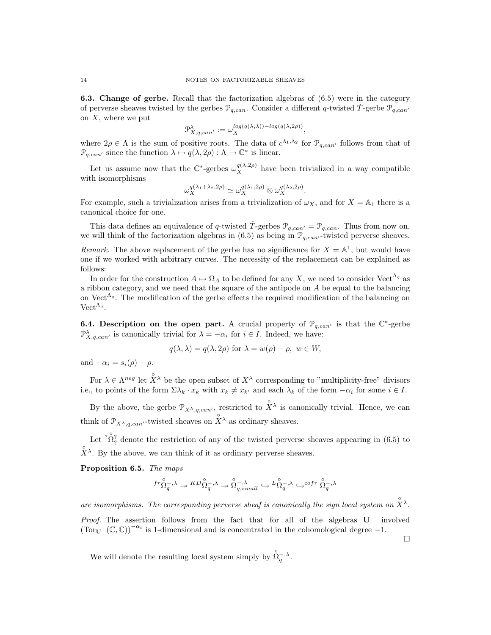6.3. Change of gerbe. Recall that the factorization algebras of (6.5) were in the category of perverse sheaves twisted by the gerbes  $\mathcal{P}_{q,can}$ . Consider a different q-twisted T-gerbe  $\mathcal{P}_{q,can}$ on  $X$ , where we put

$$
\mathcal{P}_{X,q,can'}^{\lambda} := \omega_X^{log(q(\lambda,\lambda)) - log(q(\lambda,2\rho))},
$$

where  $2\rho \in \Lambda$  is the sum of positive roots. The data of  $c^{\lambda_1,\lambda_2}$  for  $\mathcal{P}_{q,can'}$  follows from that of  $\mathcal{P}_{q, can'}$  since the function  $\lambda \mapsto q(\lambda, 2\rho) : \Lambda \to \mathbb{C}^*$  is linear.

Let us assume now that the  $\mathbb{C}^*$ -gerbes  $\omega_X^{q(\lambda,2\rho)}$  have been trivialized in a way compatible with isomorphisms

$$
\omega_X^{q(\lambda_1+\lambda_2,2\rho)} \simeq \omega_X^{q(\lambda_1,2\rho)} \otimes \omega_X^{q(\lambda_2,2\rho)}.
$$

For example, such a trivialization arises from a trivialization of  $\omega_X$ , and for  $X = \mathbb{A}_1$  there is a canonical choice for one.

This data defines an equivalence of q-twisted  $\check{T}$ -gerbes  $\mathcal{P}_{q,can'} = \mathcal{P}_{q,can}$ . Thus from now on, we will think of the factorization algebras in (6.5) as being in  $\mathcal{P}_{q,can'}$ -twisted perverse sheaves.

Remark. The above replacement of the gerbe has no significance for  $X = \mathbb{A}^1$ , but would have one if we worked with arbitrary curves. The necessity of the replacement can be explained as follows:

In order for the construction  $A \mapsto \Omega_A$  to be defined for any X, we need to consider Vect<sup> $\Lambda_q$ </sup> as a ribbon category, and we need that the square of the antipode on A be equal to the balancing on Vect<sup> $\Lambda_q$ </sup>. The modification of the gerbe effects the required modification of the balancing on  $\text{Vect}^{\Lambda_q}.$ 

**6.4. Description on the open part.** A crucial property of  $\mathcal{P}_{q,can'}$  is that the  $\mathbb{C}^*$ -gerbe  $\mathcal{P}_{X,q,can'}^{\lambda}$  is canonically trivial for  $\lambda = -\alpha_i$  for  $i \in I$ . Indeed, we have:

$$
q(\lambda, \lambda) = q(\lambda, 2\rho)
$$
 for  $\lambda = w(\rho) - \rho$ ,  $w \in W$ ,

and  $-\alpha_i = s_i(\rho) - \rho$ .

For  $\lambda \in \Lambda^{neg}$  let  $\hat{X}^{\lambda}$  be the open subset of  $X^{\lambda}$  corresponding to "multiplicity-free" divisors i.e., to points of the form  $\Sigma \lambda_k \cdot x_k$  with  $x_k \neq x_{k'}$  and each  $\lambda_k$  of the form  $-\alpha_i$  for some  $i \in I$ .

By the above, the gerbe  $\mathcal{P}_{X^{\lambda},q,can'}$ , restricted to  $X^{\lambda}$  is canonically trivial. Hence, we can think of  $\mathcal{P}_{X^{\lambda},q,can'}$ -twisted sheaves on  $X^{\lambda}$  as ordinary sheaves.

Let  ${}^{7}\overset{\circ}{\Omega}_{7}^{2}$  denote the restriction of any of the twisted perverse sheaves appearing in (6.5) to  $X^{\lambda}$ . By the above, we can think of it as ordinary perverse sheaves.

Proposition 6.5. The maps

$$
^{fr}\Omega_{q}^{-,\lambda} \twoheadrightarrow {}^{KD}\Omega_{q}^{-,\lambda} \twoheadrightarrow \Omega_{q,small}^{\circ -,\lambda} \hookrightarrow {}^{L}\Omega_{q}^{-,\lambda} \hookrightarrow {}^{cofr}\Omega_{q}^{-,\lambda}
$$

are isomorphisms. The corresponding perverse sheaf is canonically the sign local system on  $\hat{X}^{\lambda}$ . Proof. The assertion follows from the fact that for all of the algebras U<sup>−</sup> involved  $(Tor_{\mathbf{U}^{-}}(\mathbb{C}, \mathbb{C}))^{-\alpha_i}$  is 1-dimensional and is concentrated in the cohomological degree -1.

 $\Box$ 

We will denote the resulting local system simply by  $\hat{\Omega}_q^{-, \lambda}$ .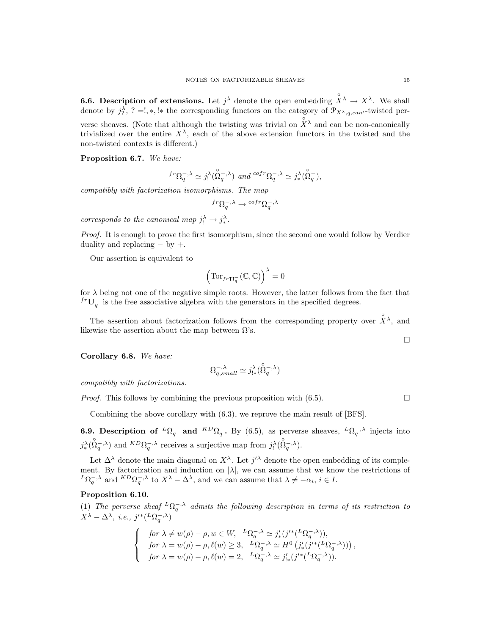**6.6.** Description of extensions. Let  $j^{\lambda}$  denote the open embedding  $\hat{X}^{\lambda} \to X^{\lambda}$ . We shall denote by  $j_?^{\lambda}$ , ? =!, \*, !\* the corresponding functors on the category of  $\mathcal{P}_{X^{\lambda},q,can'}$ -twisted perverse sheaves. (Note that although the twisting was trivial on  $X^{\lambda}$  and can be non-canonically trivialized over the entire  $X^{\lambda}$ , each of the above extension functors in the twisted and the non-twisted contexts is different.)

Proposition 6.7. We have:

$$
{}^{fr}\Omega_q^{-,\lambda} \simeq j_!^{\lambda}(\overset{\circ}{\Omega}_q^{-,\lambda}) \text{ and } {}^{cofr}\Omega_q^{-,\lambda} \simeq j_*^{\lambda}(\overset{\circ}{\Omega}_q^{-}),
$$

compatibly with factorization isomorphisms. The map

$$
{}^{fr}\Omega_q^{-,\lambda}\to {}^{cofr}\Omega_q^{-,\lambda}
$$

corresponds to the canonical map  $j_!^{\lambda} \to j_*^{\lambda}$ .

Proof. It is enough to prove the first isomorphism, since the second one would follow by Verdier duality and replacing  $-$  by  $+$ .

Our assertion is equivalent to

$$
\Big(\mathrm{Tor}_{f r \mathbf{U}^-_q}(\mathbb{C},\mathbb{C})\Big)^\lambda=0
$$

for  $\lambda$  being not one of the negative simple roots. However, the latter follows from the fact that  $f<sup>r</sup>U<sub>q</sub><sup>-</sup>$  is the free associative algebra with the generators in the specified degrees.

The assertion about factorization follows from the corresponding property over  $\hat{X}^{\lambda}$ , and likewise the assertion about the map between  $\Omega$ 's.

Corollary 6.8. We have:

$$
\Omega_{q,small}^{-,\lambda} \simeq j_{!*}^\lambda(\overset{\circ}{\Omega}_{q}^{-,\lambda})
$$

compatibly with factorizations.

*Proof.* This follows by combining the previous proposition with  $(6.5)$ .

Combining the above corollary with (6.3), we reprove the main result of [BFS].

**6.9. Description of**  ${}^L\Omega_q^-$  and  ${}^{KD}\Omega_q^-$ . By (6.5), as perverse sheaves,  ${}^L\Omega_q^{-,\lambda}$  injects into  $j^{\lambda}_{*}(\hat{\Omega}_{q}^{-},\lambda)$  and  ${}^{KD}\Omega_{q}^{-},\lambda$  receives a surjective map from  $j^{\lambda}_{!}(\hat{\Omega}_{q}^{-},\lambda)$ .

Let  $\Delta^{\lambda}$  denote the main diagonal on  $X^{\lambda}$ . Let  $j'^{\lambda}$  denote the open embedding of its complement. By factorization and induction on  $|\lambda|$ , we can assume that we know the restrictions of  ${}^L\Omega_q^{-,\lambda}$  and  ${}^{KD}\Omega_q^{-,\lambda}$  to  $X^{\lambda} - \Delta^{\lambda}$ , and we can assume that  $\lambda \neq -\alpha_i$ ,  $i \in I$ .

### Proposition 6.10.

(1) The perverse sheaf  ${}^L\Omega_q^{-,\lambda}$  admits the following description in terms of its restriction to  $X^{\lambda} - \Delta^{\lambda}, \ i.e., j'^{*}({}^{L}\Omega^{-,\lambda}_q)$ 

$$
\begin{cases} &\text{for }\lambda\neq w(\rho)-\rho,w\in W,\quad {}^L\Omega^{-,\lambda}_q\simeq j'_*(j'^*({}^L\Omega^{-,\lambda}_q)),\\ &\text{for }\lambda=w(\rho)-\rho,\ell(w)\geq 3,\quad {}^L\Omega^{-,\lambda}_q\simeq H^0\left(j'_*(j'^*({}^L\Omega^{-,\lambda}_q))\right),\\ &\text{for }\lambda=w(\rho)-\rho,\ell(w)=2,\quad {}^L\Omega^{-,\lambda}_q\simeq j'_{!*}(j'^*({}^L\Omega^{-,\lambda}_q)). \end{cases}
$$

 $\Box$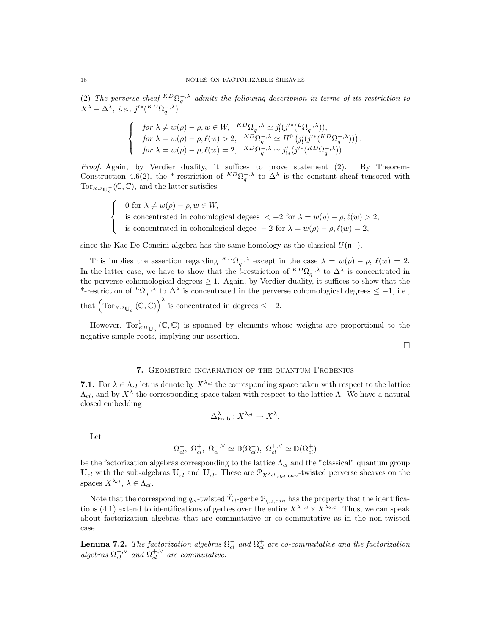(2) The perverse sheaf  ${}^{KD}\Omega_q^{-,\lambda}$  admits the following description in terms of its restriction to  $X^{\lambda}-\Delta^{\lambda},\ i.e.,\ j'^{*}(^{KD}\Omega^{-,\lambda}_q)$ 

$$
\begin{cases}\n\text{ for } \lambda \neq w(\rho) - \rho, w \in W, \quad {}^{KD}\Omega_q^{-,\lambda} \simeq j'_! (j'^*({}^L\Omega_q^{-,\lambda})), \\
\text{ for } \lambda = w(\rho) - \rho, \ell(w) > 2, \quad {}^{KD}\Omega_q^{-,\lambda} \simeq H^0 (j'_! (j'^*({}^{K\!} \Omega_q^{-,\lambda}))) \\
\text{ for } \lambda = w(\rho) - \rho, \ell(w) = 2, \quad {}^{KD}\Omega_q^{-,\lambda} \simeq j'_{!*} (j'^*({}^{KD}\Omega_q^{-,\lambda})).\n\end{cases}
$$

Proof. Again, by Verdier duality, it suffices to prove statement (2). By Theorem-Construction 4.6(2), the \*-restriction of  ${}^{KD}\Omega_q^{-,\lambda}$  to  $\Delta^{\lambda}$  is the constant sheaf tensored with  $\mathrm{Tor}_{KD_{\mathbf{U}_q}^{\perp}}(\mathbb{C}, \mathbb{C}),$  and the latter satisfies

$$
\begin{cases}\n0 \text{ for } \lambda \neq w(\rho) - \rho, w \in W, \\
\text{ is concentrated in cohomological degrees } < -2 \text{ for } \lambda = w(\rho) - \rho, \ell(w) > 2, \\
\text{ is concentrated in cohomlogical degree } -2 \text{ for } \lambda = w(\rho) - \rho, \ell(w) = 2,\n\end{cases}
$$

since the Kac-De Concini algebra has the same homology as the classical  $U(\mathfrak{n}^-)$ .

This implies the assertion regarding  ${}^{KD}\Omega_q^{-,\lambda}$  except in the case  $\lambda = w(\rho) - \rho$ ,  $\ell(w) = 2$ . In the latter case, we have to show that the !-restriction of  ${}^{KD}\Omega_q^{-,\lambda}$  to  $\Delta^{\lambda}$  is concentrated in the perverse cohomological degrees  $\geq 1$ . Again, by Verdier duality, it suffices to show that the \*-restriction of  ${}^L\Omega_q^{-,\lambda}$  to  $\Delta^{\lambda}$  is concentrated in the perverse cohomological degrees  $\leq -1$ , i.e., that  $(\text{Tor}_{KD_{\mathbf{U}_q}^{-}}(\mathbb{C}, \mathbb{C}))$ <sup>\dot</sup> is concentrated in degrees  $\leq -2$ .

However,  $Tor_{KDU_q}^1(\mathbb{C}, \mathbb{C})$  is spanned by elements whose weights are proportional to the negative simple roots, implying our assertion.

 $\Box$ 

# 7. Geometric incarnation of the quantum Frobenius

7.1. For  $\lambda \in \Lambda_{cl}$  let us denote by  $X^{\lambda_{cl}}$  the corresponding space taken with respect to the lattice  $\Lambda_{cl}$ , and by  $X^{\lambda}$  the corresponding space taken with respect to the lattice  $\Lambda$ . We have a natural closed embedding

$$
\Delta_{\text{Frob}}^{\lambda}: X^{\lambda_{cl}} \to X^{\lambda}.
$$

Let

$$
\Omega_{cl}^-,\ \Omega_{cl}^+,\ \Omega_{cl}^{-,\vee}\simeq \mathbb{D}(\Omega_{cl}^-),\ \Omega_{cl}^{+,\vee}\simeq \mathbb{D}(\Omega_{cl}^+)
$$

be the factorization algebras corresponding to the lattice  $\Lambda_{cl}$  and the "classical" quantum group  $U_{cl}$  with the sub-algebras  $U_{cl}^-$  and  $U_{cl}^+$ . These are  $\mathcal{P}_{X^{\lambda_{cl}},q_{cl},can}$ -twisted perverse sheaves on the spaces  $X^{\lambda_{cl}}$ ,  $\lambda \in \Lambda_{cl}$ .

Note that the corresponding  $q_{cl}$ -twisted  $\check{T}_{cl}$ -gerbe  $\mathcal{P}_{q_{cl},can}$  has the property that the identifications (4.1) extend to identifications of gerbes over the entire  $X^{\lambda_{1cl}} \times X^{\lambda_{2cl}}$ . Thus, we can speak about factorization algebras that are commutative or co-commutative as in the non-twisted case.

**Lemma 7.2.** The factorization algebras  $\Omega_{cl}^-$  and  $\Omega_{cl}^+$  are co-commutative and the factorization algebras  $\Omega_{cl}^{-,\vee}$  and  $\Omega_{cl}^{+,\vee}$  are commutative.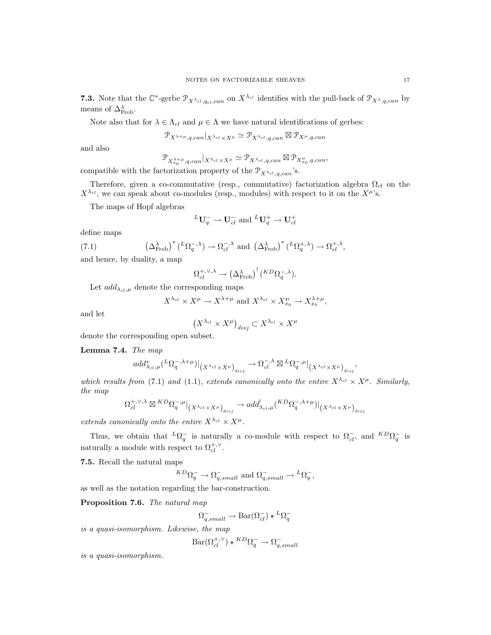**7.3.** Note that the  $\mathbb{C}^*$ -gerbe  $\mathcal{P}_{X^{\lambda_{cl}},q_{cl},can}$  on  $X^{\lambda_{cl}}$  identifies with the pull-back of  $\mathcal{P}_{X^{\lambda},q,can}$  by means of  $\Delta_{\text{Frob}}^{\lambda}$ .

Note also that for  $\lambda \in \Lambda_{cl}$  and  $\mu \in \Lambda$  we have natural identifications of gerbes:

$$
\mathcal{P}_{X^{\lambda+\mu},q,can}|_{X^{\lambda_{cl}}\times X^{\mu}} \simeq \mathcal{P}_{X^{\lambda_{cl}},q,can} \boxtimes \mathcal{P}_{X^{\mu},q,can}
$$

and also

$$
\mathcal{P}_{X_{x_0}^{\lambda+\mu},q,can}|_{X^{\lambda_{cl}}\times X^{\mu}} \simeq \mathcal{P}_{X^{\lambda_{cl}},q,can} \boxtimes \mathcal{P}_{X_{x_0}^{\mu},q,can},
$$

compatible with the factorization property of the  $\mathcal{P}_{X^{\lambda_{cl}},q,can}$ 's.

Therefore, given a co-commutative (resp., commutative) factorization algebra  $\Omega_{cl}$  on the  $X^{\lambda_{cl}}$ , we can speak about co-modules (resp., modules) with respect to it on the  $X^{\mu}$ 's.

The maps of Hopf algebras

$$
{}^{L}\mathbf{U}_{q}^{-} \rightarrow \mathbf{U}_{cl}^{-} \text{ and } {}^{L}\mathbf{U}_{q}^{+} \rightarrow \mathbf{U}_{cl}^{+}
$$

define maps

(7.1) 
$$
\left(\Delta_{\text{Frob}}^{\lambda}\right)^{*}\left(\left(\Omega_{q}^{-,\lambda}\right)\to\Omega_{cl}^{-,\lambda} \text{ and } \left(\Delta_{\text{Frob}}^{\lambda}\right)^{*}\left(\left(\Omega_{q}^{+,\lambda}\right)\to\Omega_{cl}^{+,\lambda},\right)
$$

and hence, by duality, a map

$$
\Omega_{cl}^{+,\vee,\lambda} \to \left(\Delta_{\text{Frob}}^{\lambda}\right)^! \left(\begin{matrix} KD\Omega_q^{-,\lambda} \end{matrix}\right).
$$

Let  $add_{\lambda_{cl},\mu}$  denote the corresponding maps

$$
X^{\lambda_{cl}} \times X^{\mu} \to X^{\lambda+\mu}
$$
 and  $X^{\lambda_{cl}} \times X^{\mu}_{x_0} \to X^{\lambda+\mu}_{x_0}$ ,

and let

$$
(X^{\lambda_{cl}} \times X^{\mu})_{disj} \subset X^{\lambda_{cl}} \times X^{\mu}
$$

denote the corresponding open subset.

Lemma 7.4. The map

$$
add_{\lambda_{cl},\mu}^{*}(L\Omega_{q}^{-,\lambda+\mu})|_{\left(X^{\lambda_{cl}}\times X^{\mu}\right)_{disj}}\to \Omega_{cl}^{-,\lambda}\boxtimes L\Omega_{q}^{-,\mu}|_{\left(X^{\lambda_{cl}}\times X^{\mu}\right)_{disj}},
$$

which results from (7.1) and (1.1), extends canonically onto the entire  $X^{\lambda_{cl}} \times X^{\mu}$ . Similarly, the map

$$
\Omega_{cl}^{+,\vee,\lambda} \boxtimes {}^{KD}\Omega_q^{-,\mu}\big|_{\left(X^{\lambda_{cl}} \times X^{\mu}\right)_{disj}} \to add_{\lambda_{cl},\mu}^!( {}^{KD}\Omega_q^{-,\lambda+\mu})\big|_{\left(X^{\lambda_{cl}} \times X^{\mu}\right)_{disj}}
$$

extends canonically onto the entire  $X^{\lambda_{cl}} \times X^{\mu}$ .

Thus, we obtain that  ${}^L\Omega_q^-$  is naturally a co-module with respect to  $\Omega_{cl}^-$ , and  ${}^{KD}\Omega_q^-$  is naturally a module with respect to  $\Omega_{cl}^{+,\vee}$ .

7.5. Recall the natural maps

$$
{}^{KD}\Omega_q^- \to \Omega_{q,small}^- \text{ and } \Omega_{q,small}^- \to {}^L\Omega_q^-,
$$

as well as the notation regarding the bar-construction.

Proposition 7.6. The natural map

$$
\Omega_{q,small}^-\to \mathrm{Bar}(\Omega_{cl}^-)\star{^L\Omega_{q}^-}
$$

is a quasi-isomorphism. Likewise, the map

$$
Bar(\Omega_{cl}^{+,\vee}) \star {}^{KD}\Omega_q^- \to \Omega_{q,small}^-
$$

is a quasi-isomorphism.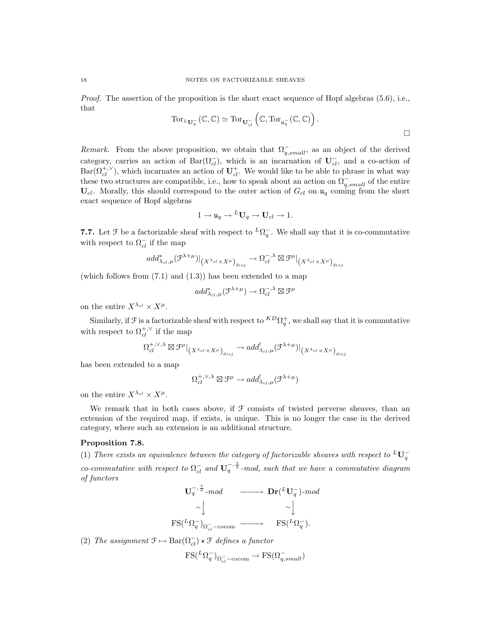Proof. The assertion of the proposition is the short exact sequence of Hopf algebras (5.6), i.e., that

$$
\operatorname{Tor}_{^L\mathbf{U}_q^-}(\mathbb{C}, \mathbb{C}) \simeq \operatorname{Tor}_{\mathbf{U}_{cl}^-}(\mathbb{C}, \operatorname{Tor}_{\mathfrak{u}_q^-}(\mathbb{C}, \mathbb{C})) .
$$

Remark. From the above proposition, we obtain that  $\Omega_{q,small}^-$ , as an object of the derived category, carries an action of Bar $(\Omega_{cl}^-)$ , which is an incarnation of  $U_{cl}^-$ , and a co-action of  $Bar(\Omega_{cl}^{+,\vee})$ , which incarnates an action of  $\mathbf{U}_{cl}^{+}$ . We would like to be able to phrase in what way these two structures are compatible, i.e., how to speak about an action on  $\Omega_{q,small}^-$  of the entire  $U_{cl}$ . Morally, this should correspond to the outer action of  $G_{cl}$  on  $\mathfrak{u}_q$  coming from the short exact sequence of Hopf algebras

$$
1 \to \mathfrak{u}_q \to {}^L \mathbf{U}_q \to \mathbf{U}_{cl} \to 1.
$$

**7.7.** Let  $\mathcal{F}$  be a factorizable sheaf with respect to  ${}^L\Omega_q^-$ . We shall say that it is co-commutative with respect to  $\Omega_{cl}^-$  if the map

$$
add^*_{\lambda_{cl},\mu}(\mathcal{F}^{\lambda+\mu})|_{\left(X^{\lambda_{cl}}\times X^{\mu}\right)_{disj}}\to \Omega_{cl}^{-,\lambda}\boxtimes \mathcal{F}^{\mu}|_{\left(X^{\lambda_{cl}}\times X^{\mu}\right)_{disj}}
$$

(which follows from  $(7.1)$  and  $(1.3)$ ) has been extended to a map

$$
add^*_{\lambda_{cl},\mu}(\mathcal{F}^{\lambda+\mu}) \to \Omega_{cl}^{-,\lambda} \boxtimes \mathcal{F}^{\mu}
$$

on the entire  $X^{\lambda_{cl}} \times X^{\mu}$ .

Similarly, if  $\mathcal F$  is a factorizable sheaf with respect to  ${}^{KD}\Omega^+_q$ , we shall say that it is commutative with respect to  $\Omega_{cl}^{+,\vee}$  if the map

$$
\Omega_{cl}^{+,\vee,\lambda}\boxtimes \mathcal{F}^\mu|_{\left(X^{\lambda_{cl}}\times X^\mu\right)_{disj}}\to add_{\lambda_{cl},\mu}^!(\mathcal{F}^{\lambda+\mu})|_{\left(X^{\lambda_{cl}}\times X^\mu\right)_{disj}}
$$

has been extended to a map

$$
\Omega_{cl}^{+,\vee,\lambda}\boxtimes \mathcal{F}^\mu\to add^!_{\lambda_{cl},\mu}(\mathcal{F}^{\lambda+\mu})
$$

on the entire  $X^{\lambda_{cl}} \times X^{\mu}$ .

We remark that in both cases above, if  $\mathcal F$  consists of twisted perverse sheaves, than an extension of the required map, if exists, is unique. This is no longer the case in the derived category, where such an extension is an additional structure.

## Proposition 7.8.

(1) There exists an equivalence between the category of factorizable sheaves with respect to  ${}^L$ U<sub>q</sub> co-commutative with respect to  $\Omega_{cl}^-$  and  $\mathbf{U}_q^{-,\frac{1}{2}}$ -mod, such that we have a commutative diagram of functors

$$
\begin{array}{ccc}\n\mathbf{U}_q^{-,\frac{+}{2}}\text{-mod} & \longrightarrow & \mathbf{Dr}(^L\mathbf{U}_q^{-})\text{-mod} \\
& \sim \Big\downarrow & & \sim \Big\downarrow \\
\text{FS}(^L\Omega_q^{-})_{\Omega_{cl}^{-}-\text{cocom}} & \longrightarrow & \text{FS}(^L\Omega_q^{-}).\n\end{array}
$$

(2) The assignment  $\mathcal{F} \mapsto \text{Bar}(\Omega_{cl}^-) \star \mathcal{F}$  defines a functor

$$
FS(^L\Omega_q^-)_{\Omega_{cl}^- - \text{cocom}} \to FS(\Omega_{q,small}^-)
$$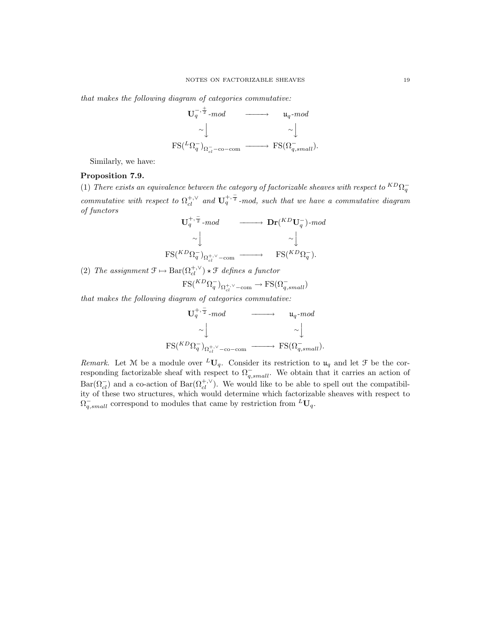that makes the following diagram of categories commutative:



Similarly, we have:

# Proposition 7.9.

(1) There exists an equivalence between the category of factorizable sheaves with respect to  ${}^{KD}\Omega_q^$ commutative with respect to  $\Omega_{cl}^{+,\vee}$  and  $\mathbf{U}_q^{+,\frac{+}{2}}$ -mod, such that we have a commutative diagram of functors

$$
\begin{array}{ccc}\n\mathbf{U}_{q}^{+,\frac{-}{2}}\text{-mod} & \xrightarrow{\hspace{15pt}} \mathbf{Dr} \left( {}^{KD}\mathbf{U}_{q}^{-} \right) \text{-mod} \\
& \sim \Big\downarrow & & \sim \Big\downarrow \\
\text{FS} \left( {}^{KD}\Omega_{q}^{-} \right)_{\Omega_{cl}^{+,\vee} \text{-com}} & \xrightarrow{\hspace{15pt}} \quad \text{FS} \left( {}^{KD}\Omega_{q}^{-} \right). \end{array}
$$

(2) The assignment 
$$
\mathfrak{F} \mapsto \mathrm{Bar}(\Omega_{cl}^{+,\vee}) \star \mathfrak{F}
$$
 defines a functor

$$
{\rm FS}({}^{KD}\Omega_q^-)_{\Omega_{cl}^{+,\vee}-{\rm com}}\to {\rm FS}(\Omega_{q,small}^-)
$$

that makes the following diagram of categories commutative:

$$
\begin{array}{ccc}\n\mathbf{U}_{q}^{+,\frac{-}{2}}\text{-mod} & \longrightarrow & \mathfrak{u}_{q}\text{-mod} \\
& \sim & \downarrow & \\
\text{FS}(\binom{KD_{q}}{q})_{\Omega_{cl}^{+,\vee}\text{-co-com}} & \longrightarrow & \text{FS}(\Omega_{q,small}^{-}).\n\end{array}
$$

Remark. Let M be a module over  ${}^L\mathbf{U}_q$ . Consider its restriction to  $\mathfrak{u}_q$  and let  $\mathfrak{F}$  be the corresponding factorizable sheaf with respect to  $\Omega_{q,small}^-$ . We obtain that it carries an action of  $Bar(\Omega_{cl}^-)$  and a co-action of  $Bar(\Omega_{cl}^{+, \vee})$ . We would like to be able to spell out the compatibility of these two structures, which would determine which factorizable sheaves with respect to  $\Omega_{q,small}^-$  correspond to modules that came by restriction from  ${}^L\textbf{U}_q$ .